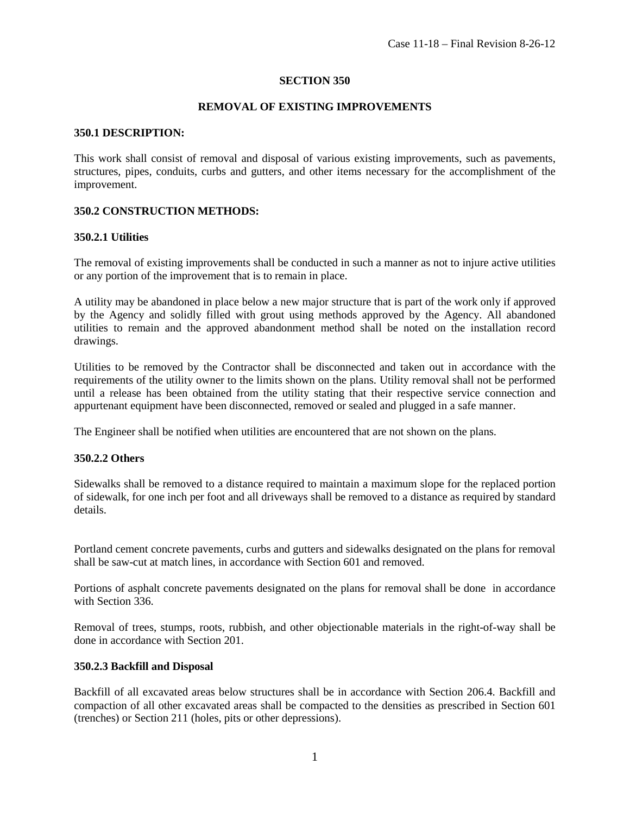#### **SECTION 350**

### **REMOVAL OF EXISTING IMPROVEMENTS**

#### **350.1 DESCRIPTION:**

This work shall consist of removal and disposal of various existing improvements, such as pavements, structures, pipes, conduits, curbs and gutters, and other items necessary for the accomplishment of the improvement.

### **350.2 CONSTRUCTION METHODS:**

#### **350.2.1 Utilities**

The removal of existing improvements shall be conducted in such a manner as not to injure active utilities or any portion of the improvement that is to remain in place.

A utility may be abandoned in place below a new major structure that is part of the work only if approved by the Agency and solidly filled with grout using methods approved by the Agency. All abandoned utilities to remain and the approved abandonment method shall be noted on the installation record drawings.

Utilities to be removed by the Contractor shall be disconnected and taken out in accordance with the requirements of the utility owner to the limits shown on the plans. Utility removal shall not be performed until a release has been obtained from the utility stating that their respective service connection and appurtenant equipment have been disconnected, removed or sealed and plugged in a safe manner.

The Engineer shall be notified when utilities are encountered that are not shown on the plans.

#### **350.2.2 Others**

Sidewalks shall be removed to a distance required to maintain a maximum slope for the replaced portion of sidewalk, for one inch per foot and all driveways shall be removed to a distance as required by standard details.

Portland cement concrete pavements, curbs and gutters and sidewalks designated on the plans for removal shall be saw-cut at match lines, in accordance with Section 601 and removed.

Portions of asphalt concrete pavements designated on the plans for removal shall be done in accordance with Section 336.

Removal of trees, stumps, roots, rubbish, and other objectionable materials in the right-of-way shall be done in accordance with Section 201.

#### **350.2.3 Backfill and Disposal**

Backfill of all excavated areas below structures shall be in accordance with Section 206.4. Backfill and compaction of all other excavated areas shall be compacted to the densities as prescribed in Section 601 (trenches) or Section 211 (holes, pits or other depressions).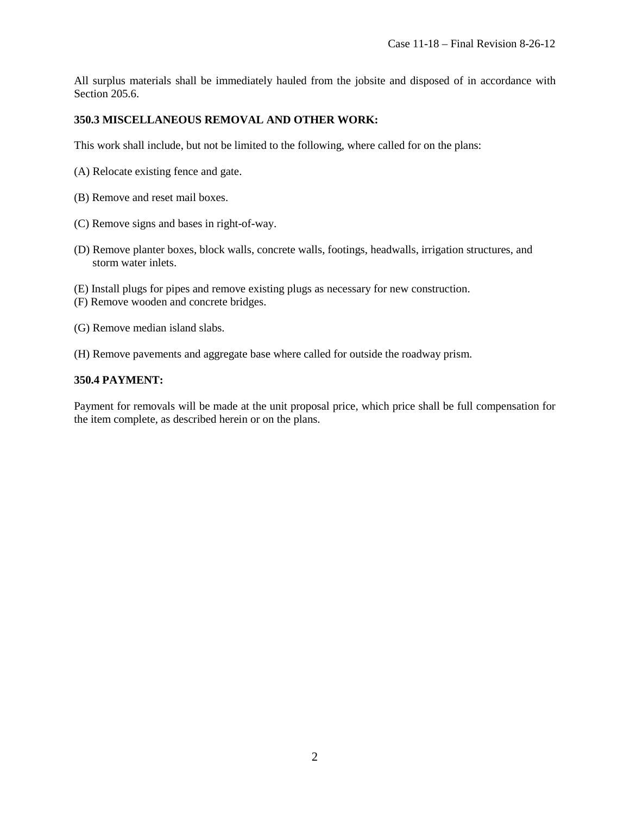All surplus materials shall be immediately hauled from the jobsite and disposed of in accordance with Section 205.6.

## **350.3 MISCELLANEOUS REMOVAL AND OTHER WORK:**

This work shall include, but not be limited to the following, where called for on the plans:

- (A) Relocate existing fence and gate.
- (B) Remove and reset mail boxes.
- (C) Remove signs and bases in right-of-way.
- (D) Remove planter boxes, block walls, concrete walls, footings, headwalls, irrigation structures, and storm water inlets.
- (E) Install plugs for pipes and remove existing plugs as necessary for new construction.
- (F) Remove wooden and concrete bridges.
- (G) Remove median island slabs.
- (H) Remove pavements and aggregate base where called for outside the roadway prism.

## **350.4 PAYMENT:**

Payment for removals will be made at the unit proposal price, which price shall be full compensation for the item complete, as described herein or on the plans.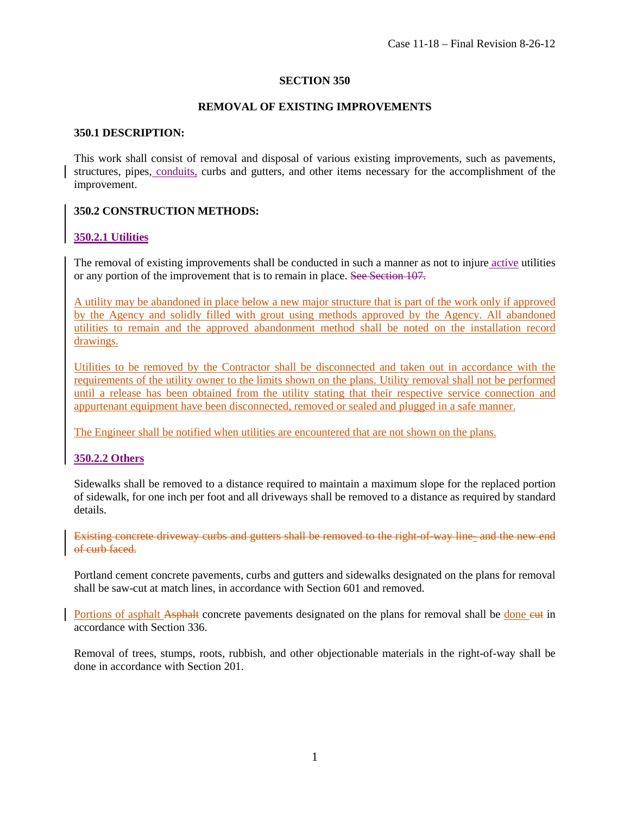### **SECTION 350**

### **REMOVAL OF EXISTING IMPROVEMENTS**

#### **350.1 DESCRIPTION:**

This work shall consist of removal and disposal of various existing improvements, such as pavements, structures, pipes, conduits, curbs and gutters, and other items necessary for the accomplishment of the improvement.

### **350.2 CONSTRUCTION METHODS:**

### **350.2.1 Utilities**

The removal of existing improvements shall be conducted in such a manner as not to injure active utilities or any portion of the improvement that is to remain in place. See Section 107.

A utility may be abandoned in place below a new major structure that is part of the work only if approved by the Agency and solidly filled with grout using methods approved by the Agency. All abandoned utilities to remain and the approved abandonment method shall be noted on the installation record drawings.

Utilities to be removed by the Contractor shall be disconnected and taken out in accordance with the requirements of the utility owner to the limits shown on the plans. Utility removal shall not be performed until a release has been obtained from the utility stating that their respective service connection and appurtenant equipment have been disconnected, removed or sealed and plugged in a safe manner.

The Engineer shall be notified when utilities are encountered that are not shown on the plans.

## **350.2.2 Others**

Sidewalks shall be removed to a distance required to maintain a maximum slope for the replaced portion of sidewalk, for one inch per foot and all driveways shall be removed to a distance as required by standard details.

Existing concrete driveway curbs and gutters shall be removed to the right-of-way line- and the new end of curb faced.

Portland cement concrete pavements, curbs and gutters and sidewalks designated on the plans for removal shall be saw-cut at match lines, in accordance with Section 601 and removed.

Portions of asphalt Asphalt concrete pavements designated on the plans for removal shall be done eut in accordance with Section 336.

Removal of trees, stumps, roots, rubbish, and other objectionable materials in the right-of-way shall be done in accordance with Section 201.